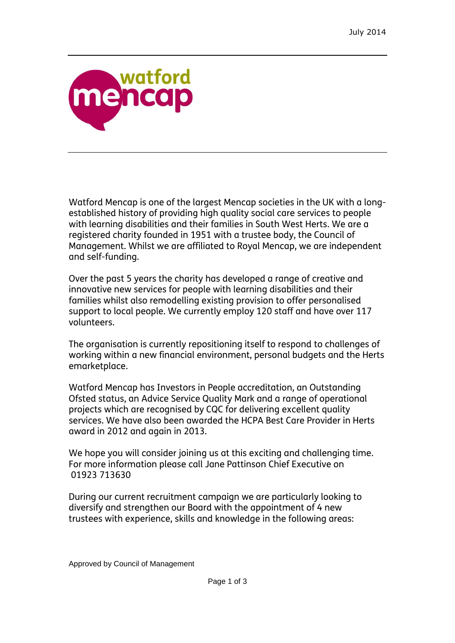

Watford Mencap is one of the largest Mencap societies in the UK with a longestablished history of providing high quality social care services to people with learning disabilities and their families in South West Herts. We are a registered charity founded in 1951 with a trustee body, the Council of Management. Whilst we are affiliated to Royal Mencap, we are independent and self-funding.

Over the past 5 years the charity has developed a range of creative and innovative new services for people with learning disabilities and their families whilst also remodelling existing provision to offer personalised support to local people. We currently employ 120 staff and have over 117 volunteers.

The organisation is currently repositioning itself to respond to challenges of working within a new financial environment, personal budgets and the Herts emarketplace.

Watford Mencap has Investors in People accreditation, an Outstanding Ofsted status, an Advice Service Quality Mark and a range of operational projects which are recognised by CQC for delivering excellent quality services. We have also been awarded the HCPA Best Care Provider in Herts award in 2012 and again in 2013.

We hope you will consider joining us at this exciting and challenging time. For more information please call Jane Pattinson Chief Executive on 01923 713630

During our current recruitment campaign we are particularly looking to diversify and strengthen our Board with the appointment of 4 new trustees with experience, skills and knowledge in the following areas: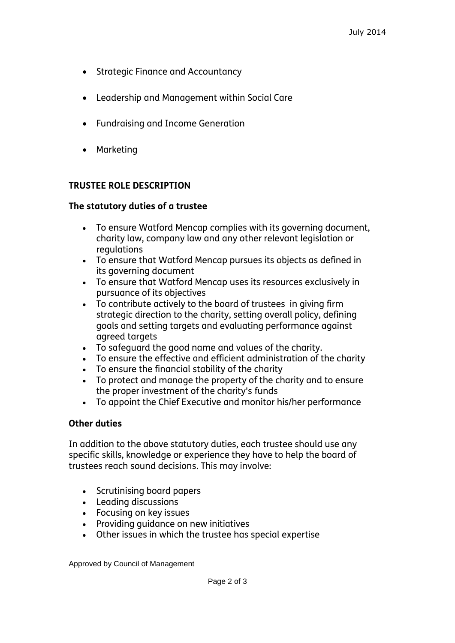- Strategic Finance and Accountancy
- Leadership and Management within Social Care
- Fundraising and Income Generation
- Marketing

## **TRUSTEE ROLE DESCRIPTION**

## **The statutory duties of a trustee**

- To ensure Watford Mencap complies with its governing document, charity law, company law and any other relevant legislation or regulations
- To ensure that Watford Mencap pursues its objects as defined in its governing document
- To ensure that Watford Mencap uses its resources exclusively in pursuance of its objectives
- To contribute actively to the board of trustees in giving firm strategic direction to the charity, setting overall policy, defining goals and setting targets and evaluating performance against agreed targets
- To safeguard the good name and values of the charity.
- To ensure the effective and efficient administration of the charity
- To ensure the financial stability of the charity
- To protect and manage the property of the charity and to ensure the proper investment of the charity's funds
- To appoint the Chief Executive and monitor his/her performance

## **Other duties**

In addition to the above statutory duties, each trustee should use any specific skills, knowledge or experience they have to help the board of trustees reach sound decisions. This may involve:

- Scrutinising board papers
- Leading discussions
- Focusing on key issues
- Providing quidance on new initiatives
- Other issues in which the trustee has special expertise

Approved by Council of Management